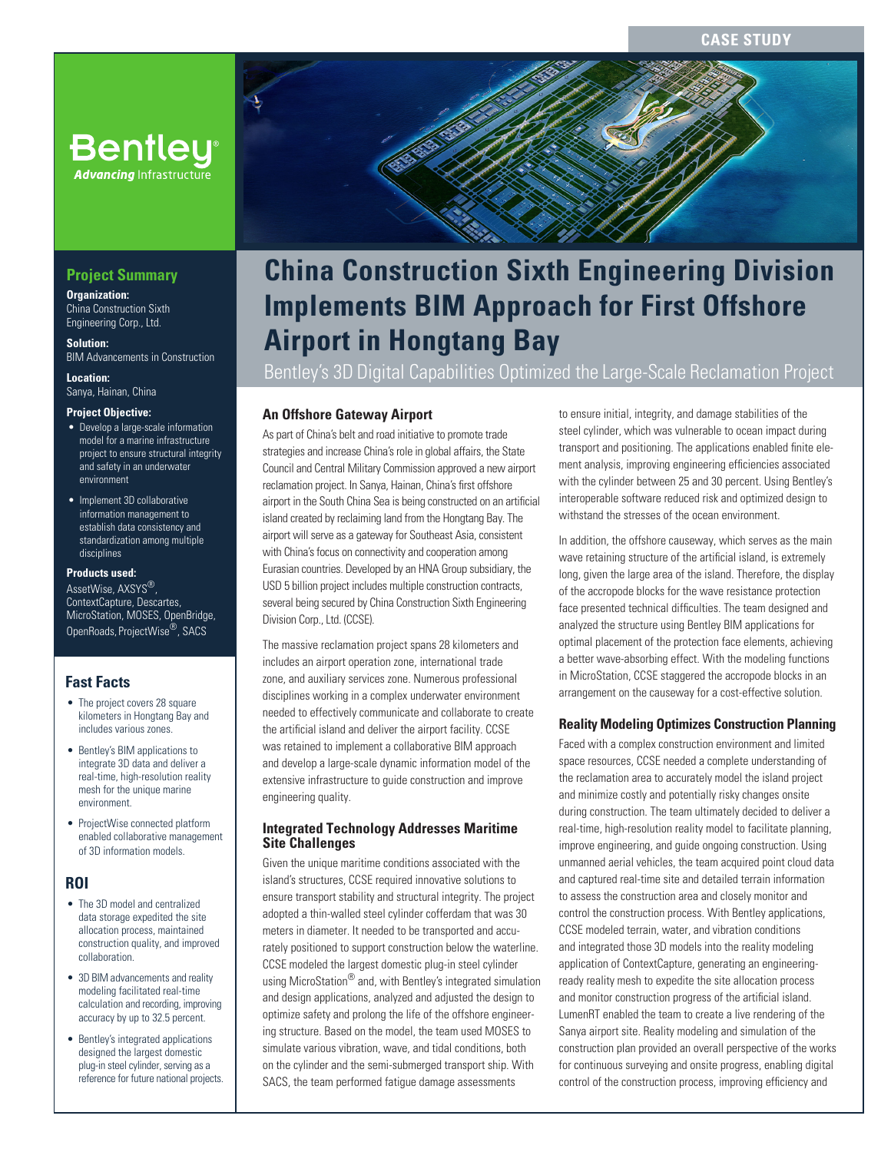# **Bentley® Advancing** Infrastructu

**Project Summary**

**Organization:**  China Construction Sixth Engineering Corp., Ltd.

**Solution:**  BIM Advancements in Construction

**Location:**  Sanya, Hainan, China

#### **Project Objective:**

- Develop a large-scale information model for a marine infrastructure project to ensure structural integrity and safety in an underwater environment
- Implement 3D collaborative information management to establish data consistency and standardization among multiple disciplines

#### **Products used:**

AssetWise, AXSYS®, ContextCapture, Descartes, MicroStation, MOSES, OpenBridge, OpenRoads, ProjectWise®, SACS

#### **Fast Facts**

- The project covers 28 square kilometers in Hongtang Bay and includes various zones.
- Bentley's BIM applications to integrate 3D data and deliver a real-time, high-resolution reality mesh for the unique marine environment.
- ProjectWise connected platform enabled collaborative management of 3D information models.

#### **ROI**

- The 3D model and centralized data storage expedited the site allocation process, maintained construction quality, and improved collaboration.
- 3D BIM advancements and reality modeling facilitated real-time calculation and recording, improving accuracy by up to 32.5 percent.
- Bentley's integrated applications designed the largest domestic plug-in steel cylinder, serving as a reference for future national projects.



E

# **Implements BIM Approach for First Offshore Airport in Hongtang Bay**

Bentley's 3D Digital Capabilities Optimized the Large-Scale Reclamation Project

#### **An Offshore Gateway Airport**

As part of China's belt and road initiative to promote trade strategies and increase China's role in global affairs, the State Council and Central Military Commission approved a new airport reclamation project. In Sanya, Hainan, China's first offshore airport in the South China Sea is being constructed on an artificial island created by reclaiming land from the Hongtang Bay. The airport will serve as a gateway for Southeast Asia, consistent with China's focus on connectivity and cooperation among Eurasian countries. Developed by an HNA Group subsidiary, the USD 5 billion project includes multiple construction contracts, several being secured by China Construction Sixth Engineering Division Corp., Ltd. (CCSE).

The massive reclamation project spans 28 kilometers and includes an airport operation zone, international trade zone, and auxiliary services zone. Numerous professional disciplines working in a complex underwater environment needed to effectively communicate and collaborate to create the artificial island and deliver the airport facility. CCSE was retained to implement a collaborative BIM approach and develop a large-scale dynamic information model of the extensive infrastructure to guide construction and improve engineering quality.

#### **Integrated Technology Addresses Maritime Site Challenges**

Given the unique maritime conditions associated with the island's structures, CCSE required innovative solutions to ensure transport stability and structural integrity. The project adopted a thin-walled steel cylinder cofferdam that was 30 meters in diameter. It needed to be transported and accurately positioned to support construction below the waterline. CCSE modeled the largest domestic plug-in steel cylinder using MicroStation<sup>®</sup> and, with Bentley's integrated simulation and design applications, analyzed and adjusted the design to optimize safety and prolong the life of the offshore engineering structure. Based on the model, the team used MOSES to simulate various vibration, wave, and tidal conditions, both on the cylinder and the semi-submerged transport ship. With SACS, the team performed fatigue damage assessments

to ensure initial, integrity, and damage stabilities of the steel cylinder, which was vulnerable to ocean impact during transport and positioning. The applications enabled finite element analysis, improving engineering efficiencies associated with the cylinder between 25 and 30 percent. Using Bentley's interoperable software reduced risk and optimized design to withstand the stresses of the ocean environment.

In addition, the offshore causeway, which serves as the main wave retaining structure of the artificial island, is extremely long, given the large area of the island. Therefore, the display of the accropode blocks for the wave resistance protection face presented technical difficulties. The team designed and analyzed the structure using Bentley BIM applications for optimal placement of the protection face elements, achieving a better wave-absorbing effect. With the modeling functions in MicroStation, CCSE staggered the accropode blocks in an arrangement on the causeway for a cost-effective solution.

#### **Reality Modeling Optimizes Construction Planning**

Faced with a complex construction environment and limited space resources, CCSE needed a complete understanding of the reclamation area to accurately model the island project and minimize costly and potentially risky changes onsite during construction. The team ultimately decided to deliver a real-time, high-resolution reality model to facilitate planning, improve engineering, and guide ongoing construction. Using unmanned aerial vehicles, the team acquired point cloud data and captured real-time site and detailed terrain information to assess the construction area and closely monitor and control the construction process. With Bentley applications, CCSE modeled terrain, water, and vibration conditions and integrated those 3D models into the reality modeling application of ContextCapture, generating an engineeringready reality mesh to expedite the site allocation process and monitor construction progress of the artificial island. LumenRT enabled the team to create a live rendering of the Sanya airport site. Reality modeling and simulation of the construction plan provided an overall perspective of the works for continuous surveying and onsite progress, enabling digital control of the construction process, improving efficiency and